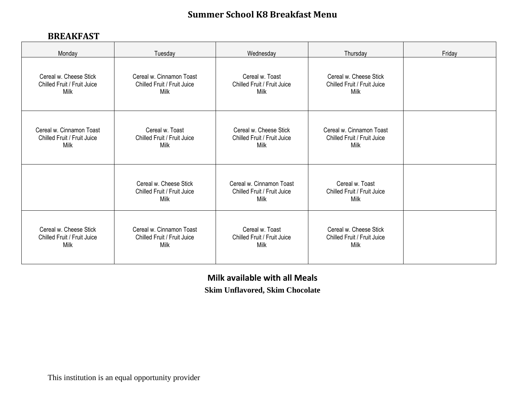## **Summer School K8 Breakfast Menu**

## **BREAKFAST**

| Monday                      | Tuesday                                                       | Wednesday                                                       | Thursday                                               | Friday |
|-----------------------------|---------------------------------------------------------------|-----------------------------------------------------------------|--------------------------------------------------------|--------|
| Cereal w. Cheese Stick      | Cereal w. Cinnamon Toast                                      | Cereal w. Toast                                                 | Cereal w. Cheese Stick                                 |        |
| Chilled Fruit / Fruit Juice | Chilled Fruit / Fruit Juice                                   | Chilled Fruit / Fruit Juice                                     | Chilled Fruit / Fruit Juice                            |        |
| Milk                        | Milk                                                          | Milk                                                            | Milk                                                   |        |
| Cereal w. Cinnamon Toast    | Cereal w. Toast                                               | Cereal w. Cheese Stick                                          | Cereal w. Cinnamon Toast                               |        |
| Chilled Fruit / Fruit Juice | Chilled Fruit / Fruit Juice                                   | Chilled Fruit / Fruit Juice                                     | Chilled Fruit / Fruit Juice                            |        |
| Milk                        | Milk                                                          | Milk                                                            | Milk                                                   |        |
|                             | Cereal w. Cheese Stick<br>Chilled Fruit / Fruit Juice<br>Milk | Cereal w. Cinnamon Toast<br>Chilled Fruit / Fruit Juice<br>Milk | Cereal w. Toast<br>Chilled Fruit / Fruit Juice<br>Milk |        |
| Cereal w. Cheese Stick      | Cereal w. Cinnamon Toast                                      | Cereal w. Toast                                                 | Cereal w. Cheese Stick                                 |        |
| Chilled Fruit / Fruit Juice | Chilled Fruit / Fruit Juice                                   | Chilled Fruit / Fruit Juice                                     | Chilled Fruit / Fruit Juice                            |        |
| Milk                        | Milk                                                          | Milk                                                            | Milk                                                   |        |

**Milk available with all Meals**

**Skim Unflavored, Skim Chocolate**